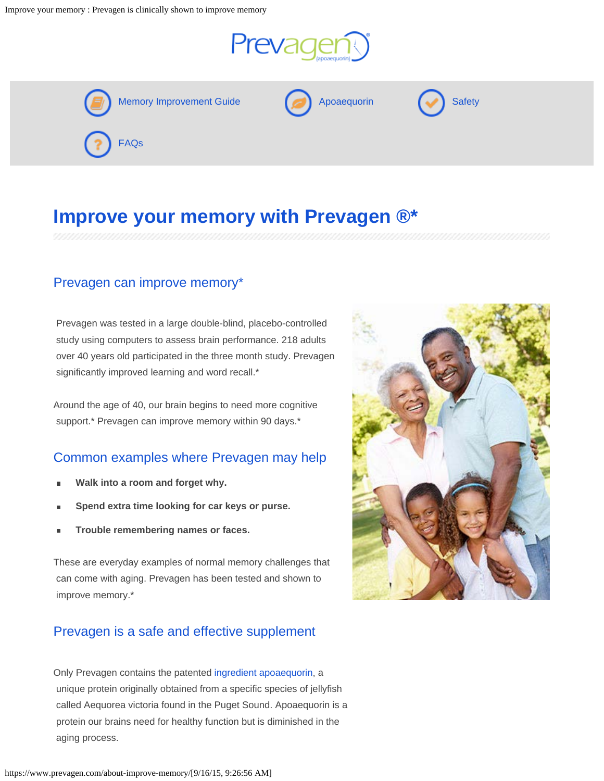Improve your memory : Prevagen is clinically shown to improve memory



## **Improve your memory with Prevagen ®\***

#### Prevagen can improve memory\*

Prevagen was tested in a large double-blind, placebo-controlled study using computers to assess brain performance. 218 adults over 40 years old participated in the three month study. Prevagen significantly improved learning and word recall.\*

Around the age of 40, our brain begins to need more cognitive support.\* Prevagen can improve memory within 90 days.\*

#### Common examples where Prevagen may help

- **Walk into a room and forget why.**
- **Spend extra time looking for car keys or purse.**
- **Trouble remembering names or faces.**

These are everyday examples of normal memory challenges that can come with aging. Prevagen has been tested and shown to improve memory.\*

### Prevagen is a safe and effective supplement

Only Prevagen contains the patented [ingredient apoaequorin](https://www.prevagen.com/about/apoaequorin/), a unique protein originally obtained from a specific species of jellyfish called Aequorea victoria found in the Puget Sound. Apoaequorin is a protein our brains need for healthy function but is diminished in the aging process.

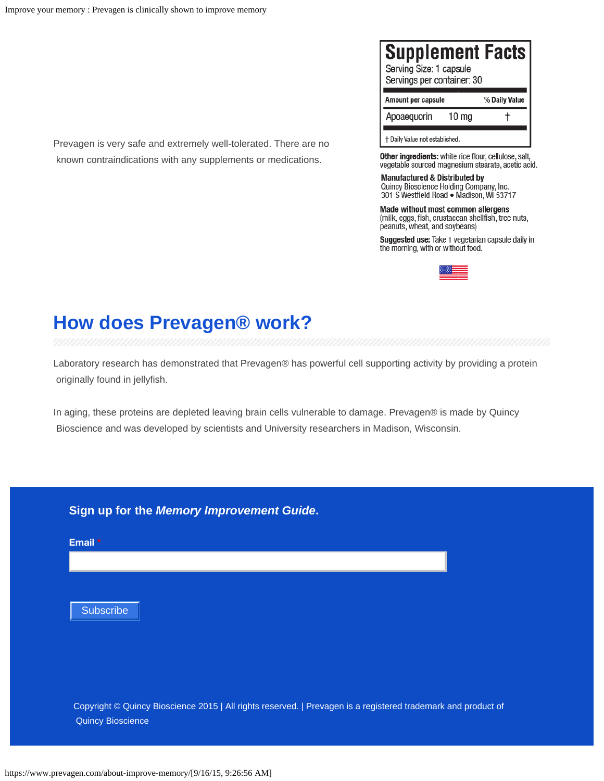Prevagen is very safe and extremely well-tolerated. There are no known contraindications with any supplements or medications.

| <b>Supplement Facts</b><br>Serving Size: 1 capsule<br>Servings per container: 30 |                  |               |
|----------------------------------------------------------------------------------|------------------|---------------|
| Amount per capsule                                                               |                  | % Daily Value |
| Apoaequorin                                                                      | 10 <sub>mg</sub> |               |
|                                                                                  |                  |               |

Other ingredients: white rice flour, cellulose, salt, vegetable sourced magnesium stearate, acetic acid.

**Manufactured & Distributed by** Quincy Bioscience Holding Company, Inc. 301 S Westfield Road . Madison, WI 53717

Made without most common allergens (milk, eggs, fish, crustacean shellfish, tree nuts, peanuts, wheat, and soybeans)

Suggested use: Take 1 vegetarian capsule daily in the morning, with or without food.



# **How does Prevagen® work?**

Laboratory research has demonstrated that Prevagen® has powerful cell supporting activity by providing a protein originally found in jellyfish.

In aging, these proteins are depleted leaving brain cells vulnerable to damage. Prevagen® is made by Quincy Bioscience and was developed by scientists and University researchers in Madison, Wisconsin.

| Subscribe |  |  |  |
|-----------|--|--|--|
|           |  |  |  |
|           |  |  |  |
|           |  |  |  |